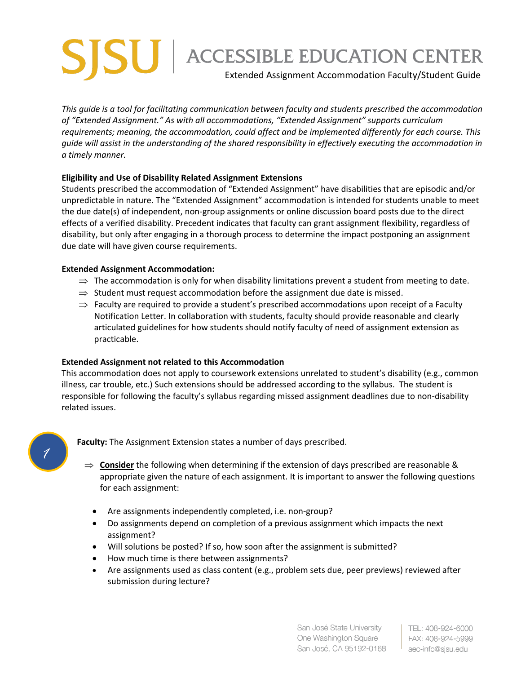## Extended Assignment Accommodation Faculty/Student Guide **SJSU ACCESSIBLE EDUCATION CENTER**

*This guide is a tool for facilitating communication between faculty and students prescribed the accommodation of "Extended Assignment." As with all accommodations, "Extended Assignment" supports curriculum requirements; meaning, the accommodation, could affect and be implemented differently for each course. This guide will assist in the understanding of the shared responsibility in effectively executing the accommodation in a timely manner.* 

## **Eligibility and Use of Disability Related Assignment Extensions**

Students prescribed the accommodation of "Extended Assignment" have disabilities that are episodic and/or unpredictable in nature. The "Extended Assignment" accommodation is intended for students unable to meet the due date(s) of independent, non-group assignments or online discussion board posts due to the direct effects of a verified disability. Precedent indicates that faculty can grant assignment flexibility, regardless of disability, but only after engaging in a thorough process to determine the impact postponing an assignment due date will have given course requirements.

## **Extended Assignment Accommodation:**

- $\Rightarrow$  The accommodation is only for when disability limitations prevent a student from meeting to date.
- $\Rightarrow$  Student must request accommodation before the assignment due date is missed.
- $\Rightarrow$  Faculty are required to provide a student's prescribed accommodations upon receipt of a Faculty Notification Letter. In collaboration with students, faculty should provide reasonable and clearly articulated guidelines for how students should notify faculty of need of assignment extension as practicable.

## **Extended Assignment not related to this Accommodation**

This accommodation does not apply to coursework extensions unrelated to student's disability (e.g., common illness, car trouble, etc.) Such extensions should be addressed according to the syllabus. The student is responsible for following the faculty's syllabus regarding missed assignment deadlines due to non-disability related issues.



**Faculty:** The Assignment Extension states a number of days prescribed.

- $\Rightarrow$  **Consider** the following when determining if the extension of days prescribed are reasonable & appropriate given the nature of each assignment. It is important to answer the following questions for each assignment:
	- Are assignments independently completed, i.e. non-group?
	- Do assignments depend on completion of a previous assignment which impacts the next assignment?
	- Will solutions be posted? If so, how soon after the assignment is submitted?
	- How much time is there between assignments?
	- Are assignments used as class content (e.g., problem sets due, peer previews) reviewed after submission during lecture?

San José State University One Washington Square San Jose, CA 95192-0168

I